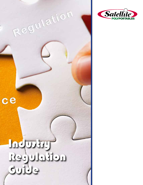

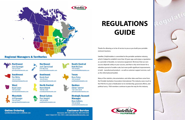# **REGULATIONS GUIDE**

Thanks for allowing us to be of service to you as you build your portable restroom business.

Satellite | PolyPortables is committed to the portable sanitation industry, which it helped to establish more than 30 years ago, and enjoys a reputation as a provider of durable, no-nonsense equipment. We know that our own success depends solely on your success, and that is why we're known for a relentless pursuit of smaller scale, but more profit-significant improvements, in both manufactured products as well as customer support services, such as this informational booklet.

Many of the statistics, documentation, and other data used here come from the Portable Sanitation Association International. This industry owes much to the PSAI for its years of dedication to its membership, grassroots efforts, and political savvy. PSAI members continue to pave the way for this industry.



**Northeast Josh Carmichael** 574-350-2162

# **Regional Managers & Territories**

Northwest

**John Sprenger** 763-519-6544 iohns@satelliteindustries.com

**Southwest Tim White** 763-519-6543 timw@satelliteindustries.com

West

**Online Ordering** 



**Bryan Lowe** 763-519-6540 blowe@satelliteindustries.com

**Mountain Jeff Sprenger** 763-519-6527 isprenger@satelliteindustries.com

satelliteindustries.com | safetfresh.com

# **Southeast Gordy Hunt** 763-519-6520

ghunt@satelliteindustries.com

ioshuac@satelliteindustries.com

#### **North Central Mark Elhardt** 763-551-7230

marke@satelliteindustries.com



### **Ryan Foley** 763-519-6526 rvanf@satelliteindustries.com

**Québec Adrian Tummel**  $+32/2-542-56-55$ adriant@satelliteindustries.com

**South Central** 

mmcclure@satelliteindustries.com

**Matt McClure** 

763-519-6521

**Texas** 

Satellite

### **Strategic Account**

**Manager Ryan Anthony** 763-519-6548 ryana@satelliteindustries.com

# **Customer Service**

Restrooms: 800-883-1123 | Fax: 800-328-3334 Safe-T-Fresh: 877-764-7297 | information@satelliteindustries.com



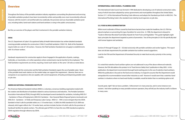# **Overview**

Throughout the history of the portable sanitation industry regulations surrounding the placement and servicing of portable sanitation products have been inconsistently written and possibly even more inconsistently enforced. However, with the recent E. coli and Norwalk virus outbreaks, the provision and use of portable sanitation products, including toilets, hand wash stations and hand sanitizers is rising in the public consciousness.

But first, an overview of the players and their involvement in the portable sanitation industry:

#### **OSHA**

The U.S. Department of Labor's Occupational Safety & Health Administration has written detailed standards covering portable sanitation for construction (1926.51) and field sanitation (1928.110). Both of the Standards require toilets at a rate of 1:20 workers. However, the Field Sanitation Standards do not apply to establishments with 10 or fewer workers.

Handwash requirements for construction apply to those "engaged in the application of paints, coatings, herbicides, or insecticides, or in other operations where contaminants may be harmful to the employees." The Field Sanitation requirements are stricter, requiring a hand wash station on the same 1:20 ratio as noted above.

Interestingly, both the construction and the field sanitation Standards require the use of potable water. None of the portable hand wash stations on the market today can support this requirement. Likewise, there are no companies in our experience who are capable, with current equipment, of hauling and dispensing potable water on job sites.

#### **AMERICAN NATIONAL STANDARDS INSTITUTE**

The American National Standards Institute (ANSI) is a voluntary, consensus-building organization tasked with the creation and distribution of standards related to various businesses and industries. The Portable Sanitation Association International (PSAI), through ANSI, has developed several standards for sanitation, including ANSI Z4.1 – Sanitation in Places of Employment, ANSI Z4.3 Sanitation – Non-Sewered Waste Disposal Systems (enclosed), and ANSI Z4.4 – Sanitation – In Fields and Temporary Labor Camps. ANSI 4.3 – 1995 is more stringent than the OSHA Standard in that it calls for portable toilets on a 1:10 worker basis. In 2009, the ANSI standard A10.25-2009 was released, which again reflects the 1:10 worker basis, and also includes Section 4.4 which calls for the provision of handwash facilities for jobsite workers. The ultimate goal of PSAI is to have this new ANSI standard accepted as OSHA regulation through reference by OSHA.

#### **INTERNATIONAL CODE COUNCIL / PLUMBING CODE**

The International Code Council was formed in 1994 dedicated to developing a set of national construction codes, many of which have been adopted by various governments and municipalities throughout the United States. Section 311.1 of the International Plumbing Code references and adopts the Standards put forth in ANSI Z4.3. The International Plumbing Code is the standard most cited by local inspectors on job sites.

#### **U.S. FOOD & DRUG ADMINISTRATION**

While recent outbreaks of illness caused by food-borne bacteria have made the headlines, the U.S. FDA has placed emphasis on preventing this type of problem for some time. In 1998, the department released its "Guide to Minimize Microbial Food Safety Hazards for Fresh Fruits and Vegetables." This guide highlights eight basic principles the department targeted as points of prevention. Two of the principles (# 3 & # 8) specifically deal with human hygiene and sanitation.

Sections IV through VI (pages 25 – 32) deal exclusively with portable sanitation and worker hygiene. This report does not dictate requirements for portable sanitation but outlines several suggestions. Look for the FDA and the Department of Homeland Security to make food security a priority in the coming months.

It is noted that waterless hand sanitizer options are not addressed in any of the above referenced materials. However, the FDA did address this product in its "Food Service Safety Facts" publication in May 2003. In this publication, the department recommends thorough hand washing prior to the use of waterless hand sanitizers. While this publication is focused on the food service industry, it is logical to assume that the Department would extrapolate this recommendation toward other industries as well. However it would seem that a waterless hand sanitizer, in situations where no hand wash facility is available, would be better than no sanitizing option at all.

Sounds great, right? But we have a problem. Enforcement is in many areas lax, and in some instances non existent. And when speaking to many portable restroom operators, they will tell you the industry itself is to blame in many cases.



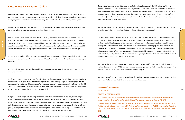# **IMAGE**

# **One. Image is Everything. Or is it?**

Despite all the hard work and best intentions of the restroom rental companies, the manufacturers that supply their equipment, and industry association that represents us all, we still allow the world around us to put us in the same perspective as the late comedian Rodney Dangerfield. Just like Mr. Dangerfield, "we get no respect."

Creating an image for your company that puts you a step above the overall industry's perceived image is a good thing, and will serve to pull the industry as a whole along with you.

Remember, there are requirements in most states providing for "adequate sanitation" to be made available to construction workers on their jobsites. If not the "sewered" type, then there are very specific provisions for the "non-sewered" type, i.e., portable restrooms. Although there are other government entities such as local health departments, and OSHA that have requirements for "adequate sanitation," the International Plumbing Code (IPC) 311.1 is the one that most closely regulates our industry in the United States and carries the most weight.

The IPC 311.1 was adopted from an American National Standards Institute (ANSI) standard, which includes a chart showing how one portable restroom can accommodate up to ten workers on a job, working eight hours a day, for one week.

If these guidelines were enforced, the portable sanitation industry could provide an amazing service to workers and our communities.

The first portable restrooms were built of wood and used lye for odor control. Decades have passed and millions of dollars have been spent designing and creating new equipment, training people to use the equipment, and developing 21st century servicing strategies. Yet today's portable restroom companies still are faced with the old "outhouse" mentality. In many instances, people still snicker when they see a portable restroom, and likewise the end users don't appreciate the services they are provided.

Lumpkin County, Georgia, Satellite | PolyPortables southeastern divisions' home county, only recently began enforcing the International Plumbing Code. The Planning/Zoning Director verified the enforcement activities. When asked, "Why now?," he said the county DIDN'T KNOW the code existed, but that they were getting complaint calls about workers exposing themselves …urinating behind trees, car doors, houses, etc. on jobsites, and it was getting to the point that some citizens were threatening to file indecent exposure charges. The county NEEDED the codes to prove to the builders that they had to have restrooms available for their workers.

The construction industry, one of the most powerful labor-based industries in the U.S., with one of the most powerful lobbies in Congress, continues to oppose guaranteed access to "adequate" sanitation for its employees. The portable sanitation industry continues to be viewed as an unnecessary evil, usually one of the last and least important items on the construction company's list of necessary components to complete their project (if on the list at all). Has the situation improved in the last decade? Absolutely. But not to the extent where there are adequate restroom units on every jobsite.

We have to educate ourselves and all who will listen about the already existing codes and regulations pertaining to portable sanitation, and even laws that govern the construction industry overall.

One point that is especially interesting to those contracting for portable service relates to the millions of dollars per year saved by construction companies that provide "adequate sanitation" on jobsites. The PSAI funded a study to determine just this (see page x). It's a great reference to show proof of these savings. Summarized, it says… making "adequate sanitation" available to workers on construction sites can bring up to a 600% return on the money spent. This is just from time lost. It doesn't take into account any of the other potential liabilities that we all know exist: Citations from indecent exposure!, Damage to a building project from raw urine/feces inside or underneath (especially if the buyer's Home Inspector finds it, Drug and alcohol abuse while driving to/from a rest room not on the jobsite and Sanitary Nuisance Laws.

The PSAI, by the way, was responsible for the American National Standard for sanitation through the American National Standards Institute (ANSI), and it continues to champion portable sanitation regulations throughout the country. In fact, the PSAI is recognized as the expert on the subject.

We need to work from every conceivable angle. The first and most obvious beginnings would be to agree we have a problem. And then agree that it is up to us to make sure it gets fixed.

#### *International Plumbing Code*

#### *SECTION 311.1*

#### *TOILET FACILITIES FOR WORKERS*

*311.1 General. Toilet facilities shall be provided for construction workers and such facilities shall be maintained in a sanitary condition. Construction worker toilet facilities of the nonsewer type shall conform to ANSI 7.4.3.*

*Construction employees must have plumbing facilities available to them during the construction of a building. These facilities may either be permanent or portable. Portable facilities are regulated by ANSI Z4.3, which specifies the various construction requirements. Figure 311.1 has been provided to show the minimum number of fixtures required by ANSI Z4.3.*



www.satelliteindustries.com | 1.800.328.3332 | Español: 1.877.452.1187 **Satellite?** www.satelliteindustries.com | 1.800.328.3332 | Español: 1.877.452.1187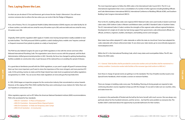# **Two. Laying Down the Law.**

So what can you do about it? First and foremost, get to know the law. Study it. Memorize it. You will never convince someone else to enforce the law unless you can recite it like the Pledge of Allegiance.

First, a bit of history. The U.S. Occupational Health & Safety Administration (OSHA) requires one toilet facility for 20 or fewer workers, one toilet and one urinal for every 40 workers up to 200, and one toilet and one urinal for every 50 workers over 200.

Originally, OSHA said this regulation didn't apply to "mobile crews having transportation readily available to nearby toilet facilities." The PSAI pressured OSHA to publish a codicil clarifying that a mobile crew "requires continual or frequent movement from jobsite to jobsite on a daily or hourly basis."

The PSAI has also lobbied Congress for years to get OSHA regulations in line with the stricter and more often followed International Plumbing Code. The organization came close to success with this proposal, until the Bush Administration shifted governmental priorities in 2001. Recently, the focus has changed to getting handwashing facilities available on construction sites, in part because of the national focus on avoiding the spread of disease.

It's a good idea to familiarize yourself with the OSHA regulations, so you aren't caught off guard if someone brings them up. Even more important, you'll want to stress the importance of the more stringent, and more practical, IPC code. At this printing, twenty-six states and the Virgin Islands have state-level occupational and safety regulations recognized by U.S. OSHA. You can access these state regulations at www.osha.gov/fso/osp/index.html.

In 1995, OSHA began an inspection program for the construction industry that concentrated on serious hazards. However, at the urging of the PSAI, OSHA clarified that they were continuing to issue citations for "other-than-serious" hazards on construction sites.

Other regulatory agencies such as IPC follow the American National Standards Institute (ANSI) recommendations. PSAI is the secretariat for four standards:

- *ANSI Z4.1 Sanitation In Places of Employment*
- *ANSI Z4.3 Sanitation Nonsewered Waste-Disposal Systems*
- *ANSI Z4.4 Sanitation In Fields and Temporary Labor Camps*
- *ANSI A10.25 Sanitation In Construction*

The most important agency to follow the ANSI codes is the International Code Council (ICC). The ICC is an international organization that is now a consolidation of a number of other agencies including Building Officials and Code Administrators International (BOCA), International Conference of Building Officials (ICBO), and Southern Building Code Congress International (SBCCI).

Prior to the ICC, building safety codes were regional. BOCA National Codes were used mostly in Eastern and Great Lakes states; ICBO Uniform Codes in Western and Midwest states; and SBCCI Standard Codes in Southern States. The ICC international Codes (I-Codes) combine the strengths of the regional codes without regional limitations. Development of a single set of codes has had strong support from government, code enforcement officials, fire officials, architects, engineers, builders, developers, and building owners and managers.

Most states have either adopted ICC codes statewide or within the state at a local level. Some have adopted the codes statewide with a future enforcement date. To see where your state stands, go to www.intlcode.org/government/adoptions.html.

Within the ICC is the International Plumbing Code, which many states and municipalities follow. The IPC also follows the ANSI codes:

*311.1 General. Toilet facilities shall be provided for construction workers and such facilities shall be maintained in a sanitary condition. Construction worker toilet facilities of the nonsewer type shall conform to ANSI z4.3.*

Even those in charge of special events are getting in on the standards. The City of Seattle recently issued a new Special Events Handbook, which includes a section on restroom facilities.

There are changes in building codes every year. The Building, Planning, & Zoning people are required to take continuing education courses regularly to keep up with the changes. It's our job to make sure our counties, cities, and states know this.

A customer in the panhandle of Florida took the bull by the horns herself, with much success. She was always very particular about her few hundred restrooms, and her service…but had the same problem as everyone else. The builders didn't understand about the opportunity to provide bathrooms for their workers.



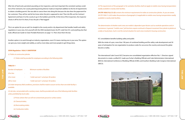**THE LAW**



After lots of hard work, persistent pounding on her inspectors, and most important the consistent sanitary condition of her restrooms, her county planning/zoning director made an important addition to the list of requirements to obtain a building permit. She was able to coerce them into doing this because she also does the paperwork for her customers. They call her and let her know when the job is supposed to start. Then she fills out the Contract/ Agreement and faxes it to the county to go in the builders permit file. At the time of first inspection, the inspector checks it off his list if it's there, if not, the job is "Red-tagged".

This is an option for you as well. Go straight to the county and/or city department that handles health and safety regulations in your area. Arm yourself with the ANSI standards book, the IPC code from ICC, and anything else that looks official (see Guide to Clean Portable Restrooms on page 11). Then show them the law.

Another option is to work through an industry organization, even if it means starting one in your area. This option can give you more weight and validity, as well as more ideas and more people to get things done.

#### *OSHA Regulation: 1926.51 SANITATION*

*(c) Toilets at construction jobsites*

*(1) Toilets shall be provided for employees according to the following table:*

#### *TABLE D-1*

| <b>Number of employees</b> | $\sim 100$        | Minimum number of facilities               |
|----------------------------|-------------------|--------------------------------------------|
| 20 or less                 | $\Delta \sim 100$ |                                            |
| 20 or more                 |                   | 1 toilet seat and 1 urinal per 40 workers  |
| 200 or more                |                   | 1 toilet seat and 1 urinal per 50 workers. |

*(2) Under temporary field conditions, provisions shall be made to assure not less than one toilet facility is available.*

**THE LAW**THE LAW

*(3) Job sites, not provided with a sanitary sewer, shall be provided with one of the following toilet facilities unless prohibited by local codes:*

*(i) Privies (where their use will not contaminate ground or surface water);*

*(ii) Chemical toilets;*

*(iii) Recirculating toilets;*

*(iv) Combustion toilets.*

*(4) The requirements of this paragraph (c) for sanitation facilities shall not apply to mobile crews having transportation readily available to nearby toilet facilities.*

*29 CFR 1926.51(c) (1)-(3) contains the minimum requirements for toilets at construction jobsites. As you are aware, 29 CFR 1926.51 (c)(4) makes the provisions of paragraph (c) inapplicable to mobile crews having transportation readily available to nearby toilet facilities.*

*The determination of whether work crews are mobile is dependent upon factors such as worksite operations and circumstances. In general, "mobile crews" job functions require continual or frequent movement from jobsite to jobsite on a daily or hourly basis. Such is not the normal situation for work crews involved in housing construction.*

ICC consolidation benefits building safety and public

With the stroke of a pen, more than 190 years of combined building and fire safety code development and 30 years of anticipation for one organization to produce codes for use across the country and around the globe became a reality.

The International Code Council (ICC) became one consolidated organization effective Feb. 1. Directors signed documents to create a unified ICC made up of what is Building Officials and Code Administrators International (BOCA), International Conference of Building Officials (ICBO), and Southern Building Code Congress International (SBCCI).



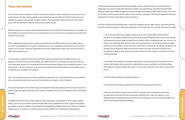# **Three. Get Involved.**

As we all know, there is strength in numbers. Unless you're prepared to work completely on your own, you need to get involved with other industry people to ensure that these laws are enforced. The PSAI is the group most available to everyone in the portable sanitation industry. The organization formed in the early 1970's and has grown to be the leading force behind many positive industry changes.

Whenever anyone has a question about portable sanitation, they call the PSAI, who refers them to its members. So joining PSAI isn't just good common sense, it's good business sense, too, because you will be receiving referrals for business in your market.

PSAI membership can give you the leverage and authority with local officials that you are not likely to get on your own. The organization has a number of specific ways to ensure regulations are followed, but you must be a member to access them. Giving the organization an even more official boost, PSAI is now a part of the new U.S. Office of Homeland Security.

 For its members as well as the rest of the world, PSAI created the Guide to Clean Portable Restrooms. This guide has a short history lesson of the industry, plus tables and charts for construction and special events. But most importantly, because of its researched and documented statistics, Guide to Clean Portable Restrooms is now being used as a reference document. It has just been recognized by the National Environmental Health Association (NEHA) and is available in its bookstore.

Here's one very simple way you can begin to address the regulations issue. The PSAI offers decals to its members that can be posted on the wall of your units. The first decal says, Capacity: 1 Unit/10 Workers.

The second decal states that the PSAI will pay \$100 reward for information leading to the arrest and conviction of anyone caught damaging or defacing a PSAI member's portable restroom unit, providing the decal is prominently displayed.

In addition to the PSAI, there are other regional or state-wide groups that advocate for the portable sanitation industry. Some, such as the North Carolina Portable Toilet Group, established on its own. A group of companies got together and hired a lobbyist and an attorney. This organization is different than most in that it's considered a lobbying group. It recently won a battle by having an anti-vandalism law passed by the state legislature.





**GET INVOLVED GET INVOLVED**

Possibly the greatest opportunity for forming statewide groups is under the auspices of your State Onsite Wastewater Association or Septic Tank Association. Florida is one state that has started the Florida Portable Restroom Organization (FPRO) through the Florida Onsite Waste Association (FOWA). FPRO has been very successful. The group meets quarterly, and has been focused recently on passage of a bill that will separate the licensing requirements for septic and portable restroom businesses.

The PSAI recommends the following steps to impact the regulatory process. Again, keep in mind that by joining the PSAI, you have the option of letting that organization do the legwork for you, using the PSAI name for validity:

1. Get to know the staff of your regulatory agency: Know who is responsible for what programs and decisions but follow the informal rules of the pecking order. The general rule is that con tacts should be initiated at lower and middle level staff. If lower echelon staff can't adequately assist you, move on, but advise those staff people with whom you have been working that you are taking the matter to a higher authority. Do this tactfully, to ensure the liaison is kept intact, as many times top officials will refer the mat ter back to the working level. Make sure the lower echelon executives are aware of particulars and are prepared in advance. Aids of this type help them perform for their superiors and provide you with a working advantage.

2. Remember when dealing with regulatory agencies you must avoid private communications with of ficials or staff members who may have the responsibility to rule on a pending case. Written material at this stage can wind up as public documents or become part of a public record, which can be read by anyone.

3. Avoid frivolous pleading with regulatory agencies.

4. Anticipate future problems, identify them, and get involved early with the agency.

5. When meeting with the agency's top echelon, be organized and considerate. Remember they are appointed, not elected, and aren't necessarily motivated by the "votes" you represent. A top official granting a meeting will assume that lower levels in the agency have been exhausted. Make sure this is the case before requesting a meeting.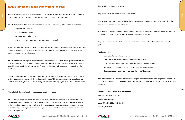# **Regulatory Negotiation Strategy from the PSAI**

**Step 1:** Define your specific stand (problem). Why is it sufficiently compelling to get involved? What should the government do and why is that better than the alternatives? Know your facts and figures.

**Step 2:** Determine what specifically must be done to move the process along. Who needs to be involved?

- Corporate (legal, technical)
- Industry trade association
- Agency personnel (who to start with)
- Allies (who else has the same problem and should be involved).

**Step 3:** Educate the working staff level people about the problem(s). Be specific; they may not understand the finer points of your industry/process. Leave documentation of your position; they will probably have to discuss this with others. Specify the solution you want/desire. Give them alternatives to achieve your needs and the regulation.

Then outline the process/steps and develop a time frame for each. Identify key points on the timeline where more aggressive actions must be taken if the decision process is not progressing toward a finale. This may include involving your state representatives, etc.

**Step 4:** After meeting agency personnel, immediately send a letter summarizing the meeting, decisions made, and reiterate the time frame by which a final decision is needed. This step documents meetings and creates a visible path which may be helpful when meeting with members of the agency hierarchy later on if a bottleneck occurs.

Always include the time frame by which a decision needs to be made.

**Step 5:** Manage the process; don't let it manage you. Be candid with staff members of an official's office when requesting a meeting. They may be able to provide insight into certain matters that might be best handled at a different level. Remember, boring the official with an unconvincing or poorly organized presentation or embarrassing them by discussing a matter on which they haven't been briefed will make the next appointment more difficult or impossible.

**Step 6:** Subscribe to agency newsletters.

**Step 7:** File written comments/testify at agency hearings.

**Step 8:** Since regulations are more technical than legislation, in submitting comments on a proposed rule, be as structured and factual/technical as possible.

**Step 9:** Other channels to use: members of Congress, certain publications, Regulatory Analysis Review Group and the Regulatory Council; but know when NOT to involve these other sources.

**Step 10:** Advisory committees to the executive branch offer a way of working that isn't available through Congress.

#### **Available Options**

- Arm (educate) yourself and go to war.
- Arm yourself and your like-minded competitors and go to war.
- Join forces with legal entities (local, regional, state, national) and go to war.
- Become a supportive member of your local Home Builder's Association.
- Become a supportive member of your local Chamber of Commerce.

The Portable Sanitation Association International is the primary authoritative voice for the portable sanitation industry, and is the repository for a wealth of information on these and other items of interest to portable restroom operators.

#### **Portable Sanitation Association International**

7800 Metro Parkway, Suite #104 Bloomington, MN. 55425 Voice: (952) 854-8300 or (800) 822-3020 Fax: (952) 854-7560





www.satelliteindustries.com | 1.800.328.3332 | Español: 1.877.452.1187 **Satellite?** www.satelliteindustries.com | 1.800.328.3332 | Español: 1.877.452.1187

**PSAI**